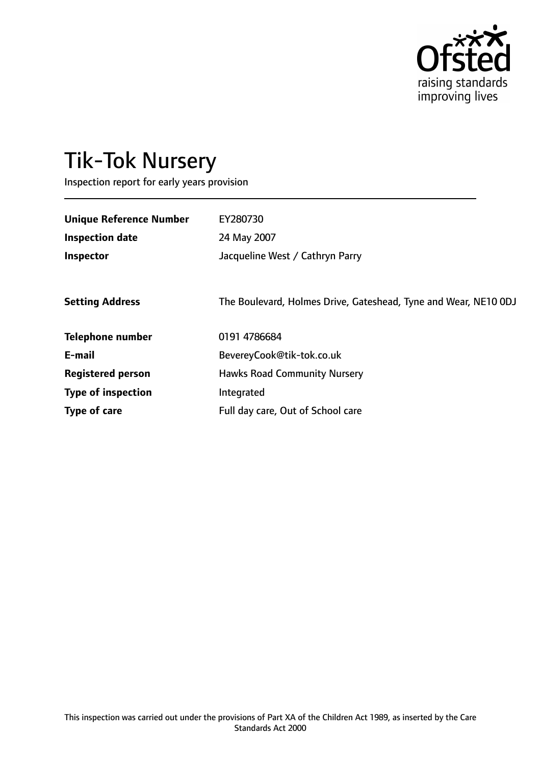

# Tik-Tok Nursery

Inspection report for early years provision

| <b>Unique Reference Number</b> | EY280730                                                        |
|--------------------------------|-----------------------------------------------------------------|
| <b>Inspection date</b>         | 24 May 2007                                                     |
| Inspector                      | Jacqueline West / Cathryn Parry                                 |
|                                |                                                                 |
| <b>Setting Address</b>         | The Boulevard, Holmes Drive, Gateshead, Tyne and Wear, NE10 0DJ |
| <b>Telephone number</b>        | 0191 4786684                                                    |
| E-mail                         | BevereyCook@tik-tok.co.uk                                       |
| <b>Registered person</b>       | <b>Hawks Road Community Nursery</b>                             |
| <b>Type of inspection</b>      | Integrated                                                      |
| Type of care                   | Full day care, Out of School care                               |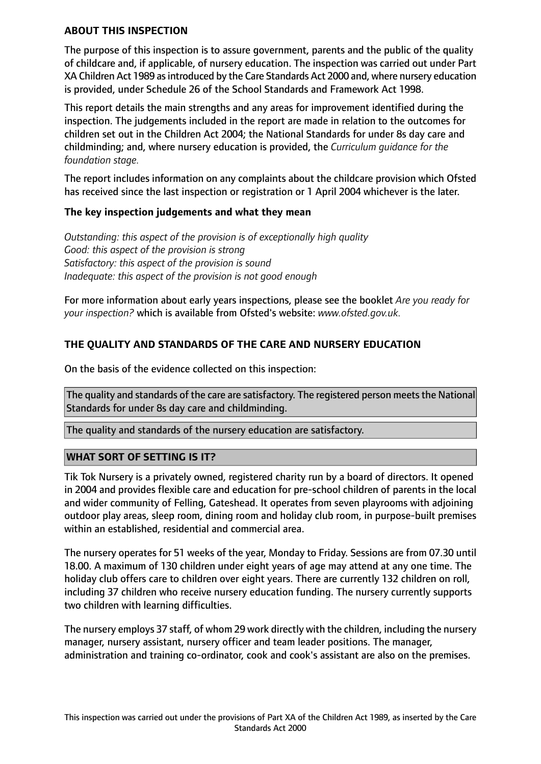#### **ABOUT THIS INSPECTION**

The purpose of this inspection is to assure government, parents and the public of the quality of childcare and, if applicable, of nursery education. The inspection was carried out under Part XA Children Act 1989 asintroduced by the Care Standards Act 2000 and, where nursery education is provided, under Schedule 26 of the School Standards and Framework Act 1998.

This report details the main strengths and any areas for improvement identified during the inspection. The judgements included in the report are made in relation to the outcomes for children set out in the Children Act 2004; the National Standards for under 8s day care and childminding; and, where nursery education is provided, the *Curriculum guidance for the foundation stage.*

The report includes information on any complaints about the childcare provision which Ofsted has received since the last inspection or registration or 1 April 2004 whichever is the later.

## **The key inspection judgements and what they mean**

*Outstanding: this aspect of the provision is of exceptionally high quality Good: this aspect of the provision is strong Satisfactory: this aspect of the provision is sound Inadequate: this aspect of the provision is not good enough*

For more information about early years inspections, please see the booklet *Are you ready for your inspection?* which is available from Ofsted's website: *www.ofsted.gov.uk.*

# **THE QUALITY AND STANDARDS OF THE CARE AND NURSERY EDUCATION**

On the basis of the evidence collected on this inspection:

The quality and standards of the care are satisfactory. The registered person meets the National Standards for under 8s day care and childminding.

The quality and standards of the nursery education are satisfactory.

## **WHAT SORT OF SETTING IS IT?**

Tik Tok Nursery is a privately owned, registered charity run by a board of directors. It opened in 2004 and provides flexible care and education for pre-school children of parents in the local and wider community of Felling, Gateshead. It operates from seven playrooms with adjoining outdoor play areas, sleep room, dining room and holiday club room, in purpose-built premises within an established, residential and commercial area.

The nursery operates for 51 weeks of the year, Monday to Friday. Sessions are from 07.30 until 18.00. A maximum of 130 children under eight years of age may attend at any one time. The holiday club offers care to children over eight years. There are currently 132 children on roll, including 37 children who receive nursery education funding. The nursery currently supports two children with learning difficulties.

The nursery employs 37 staff, of whom 29 work directly with the children, including the nursery manager, nursery assistant, nursery officer and team leader positions. The manager, administration and training co-ordinator, cook and cook's assistant are also on the premises.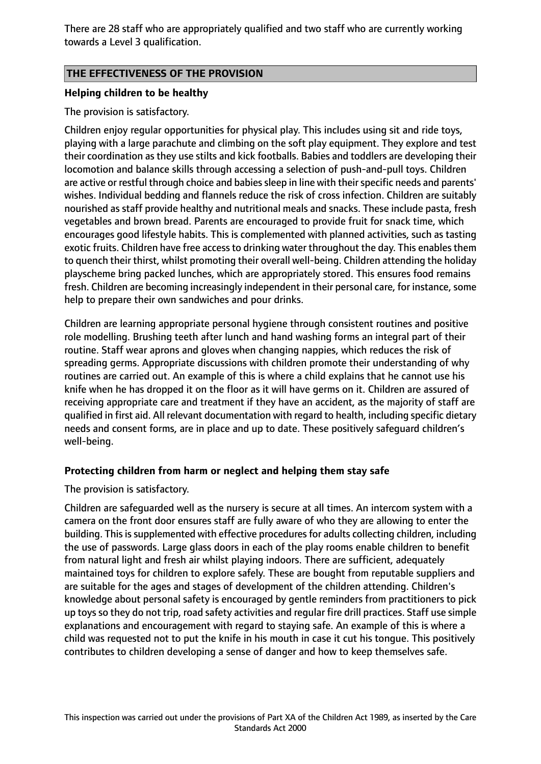There are 28 staff who are appropriately qualified and two staff who are currently working towards a Level 3 qualification.

## **THE EFFECTIVENESS OF THE PROVISION**

## **Helping children to be healthy**

The provision is satisfactory.

Children enjoy regular opportunities for physical play. This includes using sit and ride toys, playing with a large parachute and climbing on the soft play equipment. They explore and test their coordination as they use stilts and kick footballs. Babies and toddlers are developing their locomotion and balance skills through accessing a selection of push-and-pull toys. Children are active or restful through choice and babies sleep in line with their specific needs and parents' wishes. Individual bedding and flannels reduce the risk of cross infection. Children are suitably nourished as staff provide healthy and nutritional meals and snacks. These include pasta, fresh vegetables and brown bread. Parents are encouraged to provide fruit for snack time, which encourages good lifestyle habits. This is complemented with planned activities, such as tasting exotic fruits. Children have free access to drinking water throughout the day. This enables them to quench their thirst, whilst promoting their overall well-being. Children attending the holiday playscheme bring packed lunches, which are appropriately stored. This ensures food remains fresh. Children are becoming increasingly independent in their personal care, for instance, some help to prepare their own sandwiches and pour drinks.

Children are learning appropriate personal hygiene through consistent routines and positive role modelling. Brushing teeth after lunch and hand washing forms an integral part of their routine. Staff wear aprons and gloves when changing nappies, which reduces the risk of spreading germs. Appropriate discussions with children promote their understanding of why routines are carried out. An example of this is where a child explains that he cannot use his knife when he has dropped it on the floor as it will have germs on it. Children are assured of receiving appropriate care and treatment if they have an accident, as the majority of staff are qualified in first aid. All relevant documentation with regard to health, including specific dietary needs and consent forms, are in place and up to date. These positively safeguard children's well-being.

## **Protecting children from harm or neglect and helping them stay safe**

The provision is satisfactory.

Children are safeguarded well as the nursery is secure at all times. An intercom system with a camera on the front door ensures staff are fully aware of who they are allowing to enter the building. This is supplemented with effective procedures for adults collecting children, including the use of passwords. Large glass doors in each of the play rooms enable children to benefit from natural light and fresh air whilst playing indoors. There are sufficient, adequately maintained toys for children to explore safely. These are bought from reputable suppliers and are suitable for the ages and stages of development of the children attending. Children's knowledge about personal safety is encouraged by gentle reminders from practitioners to pick up toys so they do not trip, road safety activities and regular fire drill practices. Staff use simple explanations and encouragement with regard to staying safe. An example of this is where a child was requested not to put the knife in his mouth in case it cut his tongue. This positively contributes to children developing a sense of danger and how to keep themselves safe.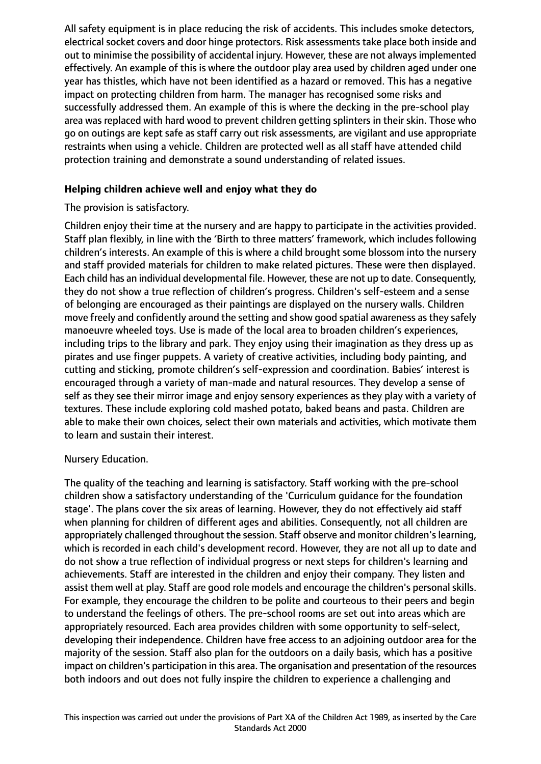All safety equipment is in place reducing the risk of accidents. This includes smoke detectors, electrical socket covers and door hinge protectors. Risk assessments take place both inside and out to minimise the possibility of accidental injury. However, these are not always implemented effectively. An example of this is where the outdoor play area used by children aged under one year has thistles, which have not been identified as a hazard or removed. This has a negative impact on protecting children from harm. The manager has recognised some risks and successfully addressed them. An example of this is where the decking in the pre-school play area was replaced with hard wood to prevent children getting splinters in their skin. Those who go on outings are kept safe as staff carry out risk assessments, are vigilant and use appropriate restraints when using a vehicle. Children are protected well as all staff have attended child protection training and demonstrate a sound understanding of related issues.

## **Helping children achieve well and enjoy what they do**

# The provision is satisfactory.

Children enjoy their time at the nursery and are happy to participate in the activities provided. Staff plan flexibly, in line with the 'Birth to three matters' framework, which includes following children's interests. An example of this is where a child brought some blossom into the nursery and staff provided materials for children to make related pictures. These were then displayed. Each child has an individual developmental file. However, these are not up to date. Consequently, they do not show a true reflection of children's progress. Children's self-esteem and a sense of belonging are encouraged as their paintings are displayed on the nursery walls. Children move freely and confidently around the setting and show good spatial awareness as they safely manoeuvre wheeled toys. Use is made of the local area to broaden children's experiences, including trips to the library and park. They enjoy using their imagination as they dress up as pirates and use finger puppets. A variety of creative activities, including body painting, and cutting and sticking, promote children's self-expression and coordination. Babies' interest is encouraged through a variety of man-made and natural resources. They develop a sense of self as they see their mirror image and enjoy sensory experiences as they play with a variety of textures. These include exploring cold mashed potato, baked beans and pasta. Children are able to make their own choices, select their own materials and activities, which motivate them to learn and sustain their interest.

## Nursery Education.

The quality of the teaching and learning is satisfactory. Staff working with the pre-school children show a satisfactory understanding of the 'Curriculum guidance for the foundation stage'. The plans cover the six areas of learning. However, they do not effectively aid staff when planning for children of different ages and abilities. Consequently, not all children are appropriately challenged throughout the session. Staff observe and monitor children's learning, which is recorded in each child's development record. However, they are not all up to date and do not show a true reflection of individual progress or next steps for children's learning and achievements. Staff are interested in the children and enjoy their company. They listen and assist them well at play. Staff are good role models and encourage the children's personal skills. For example, they encourage the children to be polite and courteous to their peers and begin to understand the feelings of others. The pre-school rooms are set out into areas which are appropriately resourced. Each area provides children with some opportunity to self-select, developing their independence. Children have free access to an adjoining outdoor area for the majority of the session. Staff also plan for the outdoors on a daily basis, which has a positive impact on children's participation in this area. The organisation and presentation of the resources both indoors and out does not fully inspire the children to experience a challenging and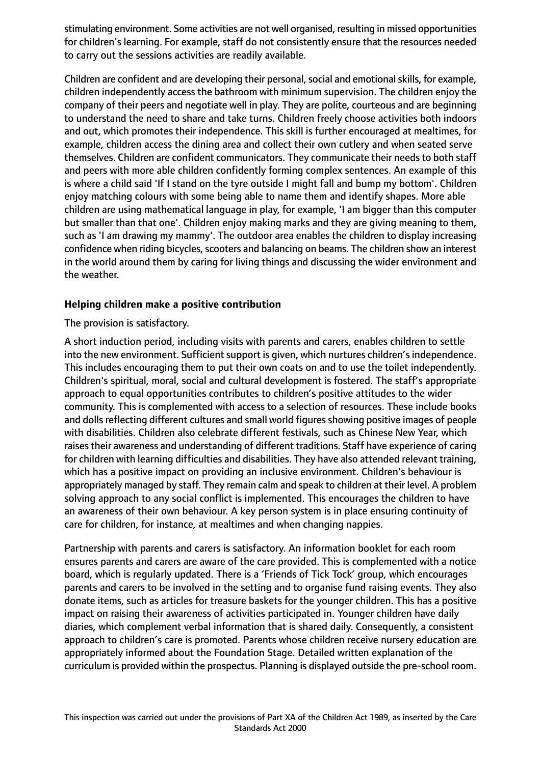stimulating environment. Some activities are not well organised, resulting in missed opportunities for children's learning. For example, staff do not consistently ensure that the resources needed to carry out the sessions activities are readily available.

Children are confident and are developing their personal, social and emotional skills, for example, children independently access the bathroom with minimum supervision. The children enjoy the company of their peers and negotiate well in play. They are polite, courteous and are beginning to understand the need to share and take turns. Children freely choose activities both indoors and out, which promotes their independence. This skill is further encouraged at mealtimes, for example, children access the dining area and collect their own cutlery and when seated serve themselves. Children are confident communicators. They communicate their needs to both staff and peers with more able children confidently forming complex sentences. An example of this is where a child said 'If I stand on the tyre outside I might fall and bump my bottom'. Children enjoy matching colours with some being able to name them and identify shapes. More able children are using mathematical language in play, for example, 'I am bigger than this computer but smaller than that one'. Children enjoy making marks and they are giving meaning to them, such as 'I am drawing my mammy'. The outdoor area enables the children to display increasing confidence when riding bicycles, scooters and balancing on beams. The children show an interest in the world around them by caring for living things and discussing the wider environment and the weather.

# **Helping children make a positive contribution**

The provision is satisfactory.

A short induction period, including visits with parents and carers, enables children to settle into the new environment. Sufficient support is given, which nurtures children's independence. This includes encouraging them to put their own coats on and to use the toilet independently. Children's spiritual, moral, social and cultural development is fostered. The staff's appropriate approach to equal opportunities contributes to children's positive attitudes to the wider community. This is complemented with access to a selection of resources. These include books and dolls reflecting different cultures and small world figures showing positive images of people with disabilities. Children also celebrate different festivals, such as Chinese New Year, which raises their awareness and understanding of different traditions. Staff have experience of caring for children with learning difficulties and disabilities. They have also attended relevant training, which has a positive impact on providing an inclusive environment. Children's behaviour is appropriately managed by staff. They remain calm and speak to children at their level. A problem solving approach to any social conflict is implemented. This encourages the children to have an awareness of their own behaviour. A key person system is in place ensuring continuity of care for children, for instance, at mealtimes and when changing nappies.

Partnership with parents and carers is satisfactory. An information booklet for each room ensures parents and carers are aware of the care provided. This is complemented with a notice board, which is regularly updated. There is a 'Friends of Tick Tock' group, which encourages parents and carers to be involved in the setting and to organise fund raising events. They also donate items, such as articles for treasure baskets for the younger children. This has a positive impact on raising their awareness of activities participated in. Younger children have daily diaries, which complement verbal information that is shared daily. Consequently, a consistent approach to children's care is promoted. Parents whose children receive nursery education are appropriately informed about the Foundation Stage. Detailed written explanation of the curriculum is provided within the prospectus. Planning is displayed outside the pre-school room.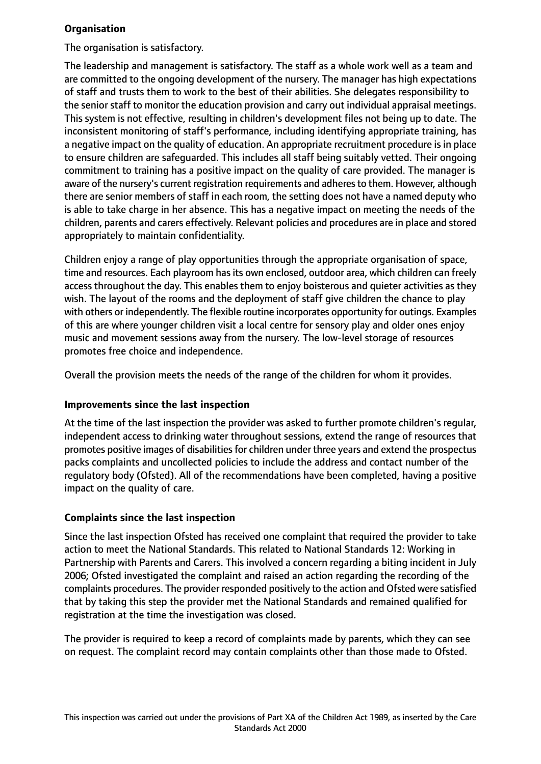# **Organisation**

The organisation is satisfactory.

The leadership and management is satisfactory. The staff as a whole work well as a team and are committed to the ongoing development of the nursery. The manager has high expectations of staff and trusts them to work to the best of their abilities. She delegates responsibility to the senior staff to monitor the education provision and carry out individual appraisal meetings. This system is not effective, resulting in children's development files not being up to date. The inconsistent monitoring of staff's performance, including identifying appropriate training, has a negative impact on the quality of education. An appropriate recruitment procedure is in place to ensure children are safeguarded. This includes all staff being suitably vetted. Their ongoing commitment to training has a positive impact on the quality of care provided. The manager is aware of the nursery's current registration requirements and adheres to them. However, although there are senior members of staff in each room, the setting does not have a named deputy who is able to take charge in her absence. This has a negative impact on meeting the needs of the children, parents and carers effectively. Relevant policies and procedures are in place and stored appropriately to maintain confidentiality.

Children enjoy a range of play opportunities through the appropriate organisation of space, time and resources. Each playroom has its own enclosed, outdoor area, which children can freely access throughout the day. This enables them to enjoy boisterous and quieter activities as they wish. The layout of the rooms and the deployment of staff give children the chance to play with others or independently. The flexible routine incorporates opportunity for outings. Examples of this are where younger children visit a local centre for sensory play and older ones enjoy music and movement sessions away from the nursery. The low-level storage of resources promotes free choice and independence.

Overall the provision meets the needs of the range of the children for whom it provides.

## **Improvements since the last inspection**

At the time of the last inspection the provider was asked to further promote children's regular, independent access to drinking water throughout sessions, extend the range of resources that promotes positive images of disabilities for children under three years and extend the prospectus packs complaints and uncollected policies to include the address and contact number of the regulatory body (Ofsted). All of the recommendations have been completed, having a positive impact on the quality of care.

# **Complaints since the last inspection**

Since the last inspection Ofsted has received one complaint that required the provider to take action to meet the National Standards. This related to National Standards 12: Working in Partnership with Parents and Carers. This involved a concern regarding a biting incident in July 2006; Ofsted investigated the complaint and raised an action regarding the recording of the complaints procedures. The provider responded positively to the action and Ofsted were satisfied that by taking this step the provider met the National Standards and remained qualified for registration at the time the investigation was closed.

The provider is required to keep a record of complaints made by parents, which they can see on request. The complaint record may contain complaints other than those made to Ofsted.